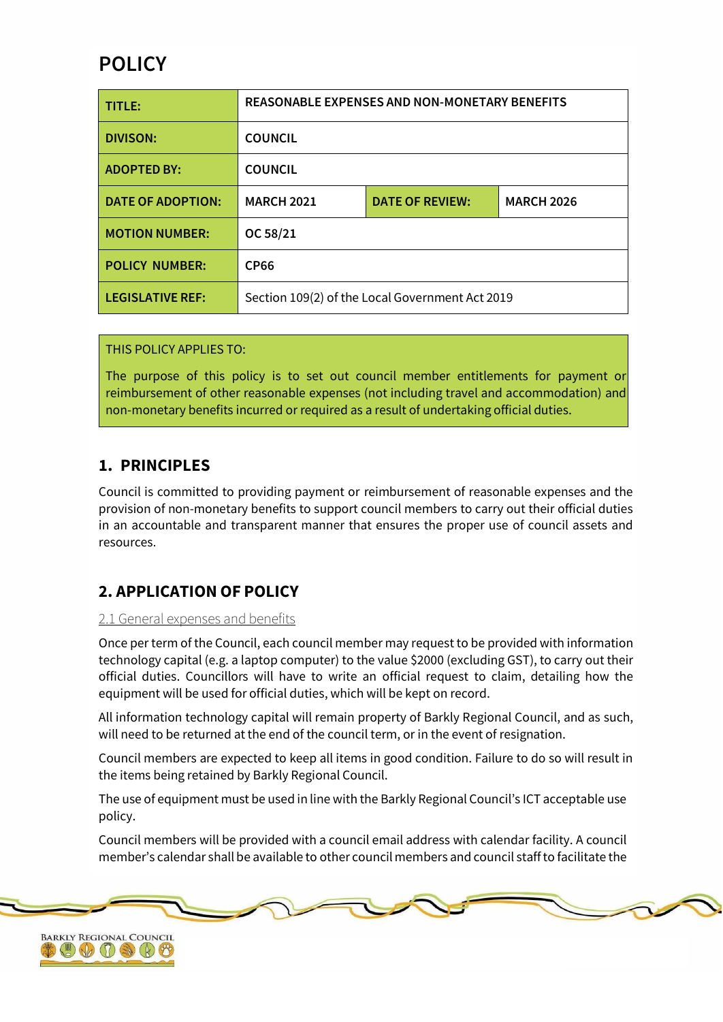# **POLICY**

| TITLE:                   | <b>REASONABLE EXPENSES AND NON-MONETARY BENEFITS</b> |                        |                   |
|--------------------------|------------------------------------------------------|------------------------|-------------------|
| <b>DIVISON:</b>          | <b>COUNCIL</b>                                       |                        |                   |
| <b>ADOPTED BY:</b>       | <b>COUNCIL</b>                                       |                        |                   |
| <b>DATE OF ADOPTION:</b> | <b>MARCH 2021</b>                                    | <b>DATE OF REVIEW:</b> | <b>MARCH 2026</b> |
| <b>MOTION NUMBER:</b>    | OC 58/21                                             |                        |                   |
| <b>POLICY NUMBER:</b>    | <b>CP66</b>                                          |                        |                   |
| <b>LEGISLATIVE REF:</b>  | Section 109(2) of the Local Government Act 2019      |                        |                   |

THIS POLICY APPLIES TO:

The purpose of this policy is to set out council member entitlements for payment or reimbursement of other reasonable expenses (not including travel and accommodation) and non-monetary benefits incurred or required as a result of undertaking official duties.

# **1. PRINCIPLES**

Council is committed to providing payment or reimbursement of reasonable expenses and the provision of non-monetary benefits to support council members to carry out their official duties in an accountable and transparent manner that ensures the proper use of council assets and resources.

# **2. APPLICATION OF POLICY**

#### 2.1 General expenses and benefits

Once per term of the Council, each council member may request to be provided with information technology capital (e.g. a laptop computer) to the value \$2000 (excluding GST), to carry out their official duties. Councillors will have to write an official request to claim, detailing how the equipment will be used for official duties, which will be kept on record.

All information technology capital will remain property of Barkly Regional Council, and as such, will need to be returned at the end of the council term, or in the event of resignation.

Council members are expected to keep all items in good condition. Failure to do so will result in the items being retained by Barkly Regional Council.

The use of equipment must be used in line with the Barkly Regional Council's ICT acceptable use policy.

Council members will be provided with a council email address with calendar facility. A council member's calendar shall be available to other council members and council staffto facilitate the